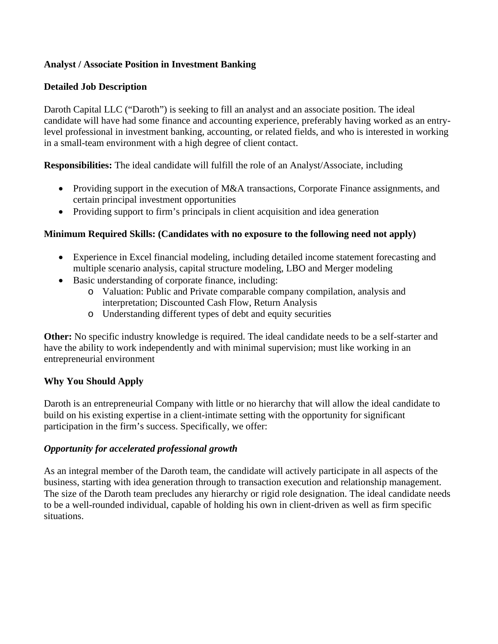# **Analyst / Associate Position in Investment Banking**

# **Detailed Job Description**

Daroth Capital LLC ("Daroth") is seeking to fill an analyst and an associate position. The ideal candidate will have had some finance and accounting experience, preferably having worked as an entrylevel professional in investment banking, accounting, or related fields, and who is interested in working in a small-team environment with a high degree of client contact.

**Responsibilities:** The ideal candidate will fulfill the role of an Analyst/Associate, including

- Providing support in the execution of M&A transactions, Corporate Finance assignments, and certain principal investment opportunities
- Providing support to firm's principals in client acquisition and idea generation

# **Minimum Required Skills: (Candidates with no exposure to the following need not apply)**

- Experience in Excel financial modeling, including detailed income statement forecasting and multiple scenario analysis, capital structure modeling, LBO and Merger modeling
- Basic understanding of corporate finance, including:
	- o Valuation: Public and Private comparable company compilation, analysis and interpretation; Discounted Cash Flow, Return Analysis
	- o Understanding different types of debt and equity securities

**Other:** No specific industry knowledge is required. The ideal candidate needs to be a self-starter and have the ability to work independently and with minimal supervision; must like working in an entrepreneurial environment

## **Why You Should Apply**

Daroth is an entrepreneurial Company with little or no hierarchy that will allow the ideal candidate to build on his existing expertise in a client-intimate setting with the opportunity for significant participation in the firm's success. Specifically, we offer:

## *Opportunity for accelerated professional growth*

As an integral member of the Daroth team, the candidate will actively participate in all aspects of the business, starting with idea generation through to transaction execution and relationship management. The size of the Daroth team precludes any hierarchy or rigid role designation. The ideal candidate needs to be a well-rounded individual, capable of holding his own in client-driven as well as firm specific situations.